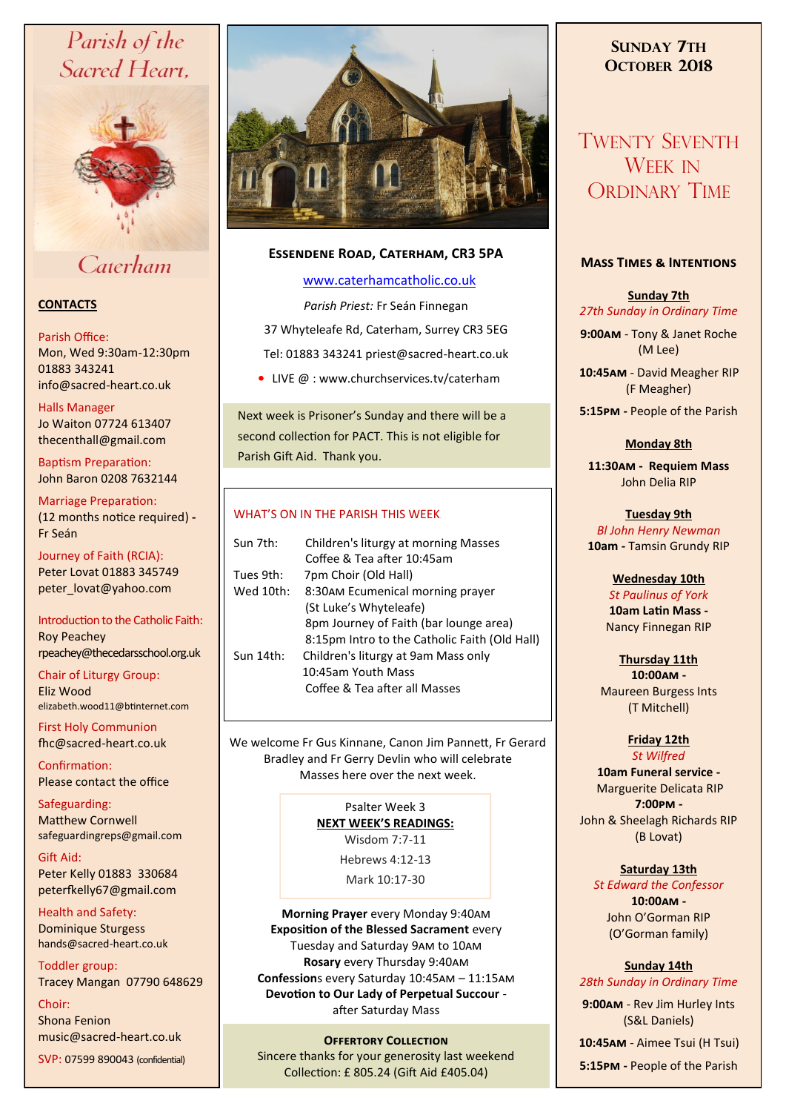# Parish of the Sacred Heart,



Caterham

# **CONTACTS**

### Parish Office:

Mon, Wed 9:30am-12:30pm 01883 343241 info@sacred-heart.co.uk .

Halls Manager Jo Waiton 07724 613407 thecenthall@gmail.com

Baptism Preparation: John Baron 0208 7632144

Marriage Preparation: (12 months notice required) **-** Fr Seán

Journey of Faith (RCIA): Peter Lovat 01883 345749 peter\_lovat@yahoo.com

Introduction to the Catholic Faith: Roy Peachey rpeachey@thecedarsschool.org.uk

Chair of Liturgy Group: Eliz Wood elizabeth.wood11@btinternet.com

First Holy Communion fhc@sacred-heart.co.uk

Confirmation: Please contact the office

Safeguarding: Matthew Cornwell safeguardingreps@gmail.com

Gift Aid: Peter Kelly 01883 330684 peterfkelly67@gmail.com

Health and Safety: Dominique Sturgess hands@sacred-heart.co.uk

Toddler group: Tracey Mangan 07790 648629

Choir: Shona Fenion music@sacred-heart.co.uk

SVP: 07599 890043 (confidential)



# **Essendene Road, Caterham, CR3 5PA**

# [www.caterhamcatholic.co.uk](http://Www.caterhamcatholic.co.uk)

*Parish Priest:* Fr Seán Finnegan 37 Whyteleafe Rd, Caterham, Surrey CR3 5EG Tel: 01883 343241 priest@sacred-heart.co.uk

• LIVE @ : www.churchservices.tv/caterham

Next week is Prisoner's Sunday and there will be a second collection for PACT. This is not eligible for Parish Gift Aid. Thank you.

# WHAT'S ON IN THE PARISH THIS WEEK.

| Sun 7th:  | Children's liturgy at morning Masses          |
|-----------|-----------------------------------------------|
|           | Coffee & Tea after 10:45am                    |
| Tues 9th: | 7pm Choir (Old Hall)                          |
| Wed 10th: | 8:30AM Ecumenical morning prayer              |
|           | (St Luke's Whyteleafe)                        |
|           | 8pm Journey of Faith (bar lounge area)        |
|           | 8:15pm Intro to the Catholic Faith (Old Hall) |
| Sun 14th: | Children's liturgy at 9am Mass only           |
|           | 10:45am Youth Mass                            |
|           | Coffee & Tea after all Masses                 |
|           |                                               |

We welcome Fr Gus Kinnane, Canon Jim Pannett, Fr Gerard Bradley and Fr Gerry Devlin who will celebrate Masses here over the next week.

> Psalter Week 3 **NEXT WEEK'S READINGS:**  Wisdom 7:7-11

> > Hebrews 4:12-13

Mark 10:17-30

**Morning Prayer** every Monday 9:40am **Exposition of the Blessed Sacrament** every Tuesday and Saturday 9am to 10am **Rosary** every Thursday 9:40am **Confession**s every Saturday 10:45am – 11:15am **Devotion to Our Lady of Perpetual Succour**  after Saturday Mass

# **OFFERTORY COLLECTION**

Sincere thanks for your generosity last weekend Collection: £ 805.24 (Gift Aid £405.04)

# **SUNDAY 7TH OCTOBER 2018**

# TWENTY SEVENTH WEEK IN ORDINARY TIME

# **Mass Times & Intentions**

**Sunday 7th** *27th Sunday in Ordinary Time*

**9:00am** - Tony & Janet Roche (M Lee)

.**10:45am** - David Meagher RIP (F Meagher)

**5:15pm -** People of the Parish

# **Monday 8th**

**11:30am - Requiem Mass** John Delia RIP

**Tuesday 9th**  *Bl John Henry Newman* **10am -** Tamsin Grundy RIP

> **Wednesday 10th** *St Paulinus of York* **10am Latin Mass -** Nancy Finnegan RIP

**Thursday 11th 10:00am -**  Maureen Burgess Ints (T Mitchell)

# **Friday 12th**

*St Wilfred* **10am Funeral service -** Marguerite Delicata RIP **7:00pm -** John & Sheelagh Richards RIP (B Lovat)

# **Saturday 13th**

*St Edward the Confessor* **10:00am -**  John O'Gorman RIP (O'Gorman family)

#### **Sunday 14th** *28th Sunday in Ordinary Time*

**9:00am** - Rev Jim Hurley Ints (S&L Daniels)

.**10:45am** - Aimee Tsui (H Tsui) **5:15pm -** People of the Parish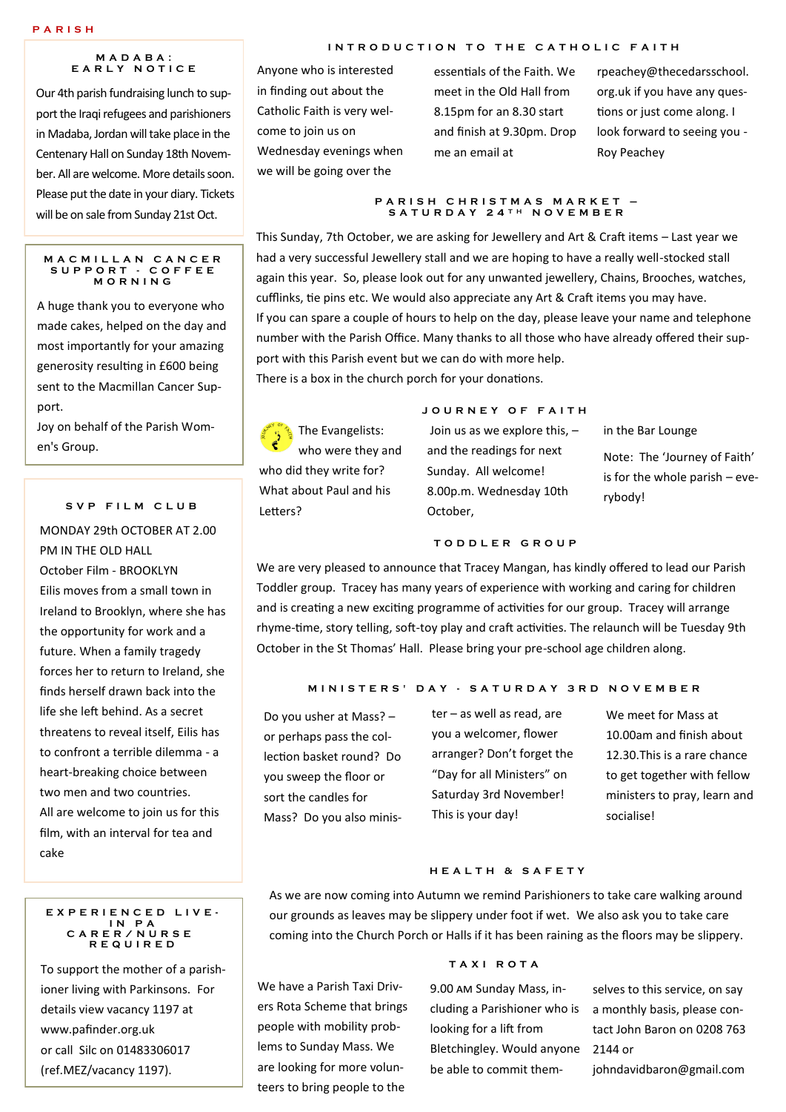#### **M A D A B A : E A R L Y N O T I C E**

Our 4th parish fundraising lunch to support the Iraqi refugees and parishioners in Madaba, Jordan will take place in the Centenary Hall on Sunday 18th November. All are welcome. More details soon. Please put the date in your diary. Tickets will be on sale from Sunday 21st Oct.

#### **M A C M I L L A N C A N C E R S U P P O R T - C O F F E E M O R N I N G**

A huge thank you to everyone who made cakes, helped on the day and most importantly for your amazing generosity resulting in £600 being sent to the Macmillan Cancer Support.

Joy on behalf of the Parish Women's Group.

#### **S V P F I L M C L U B**

MONDAY 29th OCTOBER AT 2.00 PM IN THE OLD HALL October Film - BROOKLYN Eilis moves from a small town in Ireland to Brooklyn, where she has the opportunity for work and a future. When a family tragedy forces her to return to Ireland, she finds herself drawn back into the life she left behind. As a secret threatens to reveal itself, Eilis has to confront a terrible dilemma - a heart-breaking choice between two men and two countries. All are welcome to join us for this film, with an interval for tea and cake

#### **E X P E R I E N C E D L I V E - I N P A C A R E R / N U R S E R E Q U I R E D**

To support the mother of a parishioner living with Parkinsons. For details view vacancy 1197 at www.pafinder.org.uk or call Silc on 01483306017 (ref.MEZ/vacancy 1197).

#### **INTRODUCTION TO THE CATHOLIC FAITH**

Anyone who is interested in finding out about the Catholic Faith is very welcome to join us on Wednesday evenings when we will be going over the

essentials of the Faith. We meet in the Old Hall from 8.15pm for an 8.30 start and finish at 9.30pm. Drop me an email at

rpeachey@thecedarsschool. org.uk if you have any questions or just come along. I look forward to seeing you - Roy Peachey

#### **P A R I S H C H R I S T M A S M A R K E T – S A T U R D A Y 2 4 T H N O V E M B E R**

This Sunday, 7th October, we are asking for Jewellery and Art & Craft items – Last year we had a very successful Jewellery stall and we are hoping to have a really well-stocked stall again this year. So, please look out for any unwanted jewellery, Chains, Brooches, watches, cufflinks, tie pins etc. We would also appreciate any Art & Craft items you may have. If you can spare a couple of hours to help on the day, please leave your name and telephone number with the Parish Office. Many thanks to all those who have already offered their support with this Parish event but we can do with more help.

There is a box in the church porch for your donations.

**R** The Evangelists: who were they and who did they write for? What about Paul and his Letters?

#### **J O U R N E Y O F F A I T H**

Join us as we explore this, – and the readings for next Sunday. All welcome! 8.00p.m. Wednesday 10th October,

in the Bar Lounge

Note: The 'Journey of Faith' is for the whole parish – everybody!

### **T O D D L E R G R O U P**

We are very pleased to announce that Tracey Mangan, has kindly offered to lead our Parish Toddler group. Tracey has many years of experience with working and caring for children and is creating a new exciting programme of activities for our group. Tracey will arrange rhyme-time, story telling, soft-toy play and craft activities. The relaunch will be Tuesday 9th October in the St Thomas' Hall. Please bring your pre-school age children along.

#### **M I N I S T E R S ' D A Y - S A T U R D A Y 3 R D N O V E M B E R**

Do you usher at Mass? – or perhaps pass the collection basket round? Do you sweep the floor or sort the candles for Mass? Do you also minis-

ter – as well as read, are you a welcomer, flower arranger? Don't forget the "Day for all Ministers" on Saturday 3rd November! This is your day!

We meet for Mass at 10.00am and finish about 12.30.This is a rare chance to get together with fellow ministers to pray, learn and socialise!

#### **H E A L T H & S A F E T Y**

As we are now coming into Autumn we remind Parishioners to take care walking around our grounds as leaves may be slippery under foot if wet. We also ask you to take care coming into the Church Porch or Halls if it has been raining as the floors may be slippery.

We have a Parish Taxi Drivers Rota Scheme that brings people with mobility problems to Sunday Mass. We are looking for more volunteers to bring people to the

#### **T A X I R O T A**

9.00 am Sunday Mass, including a Parishioner who is looking for a lift from Bletchingley. Would anyone 2144 or be able to commit them-

selves to this service, on say a monthly basis, please contact John Baron on 0208 763 johndavidbaron@gmail.com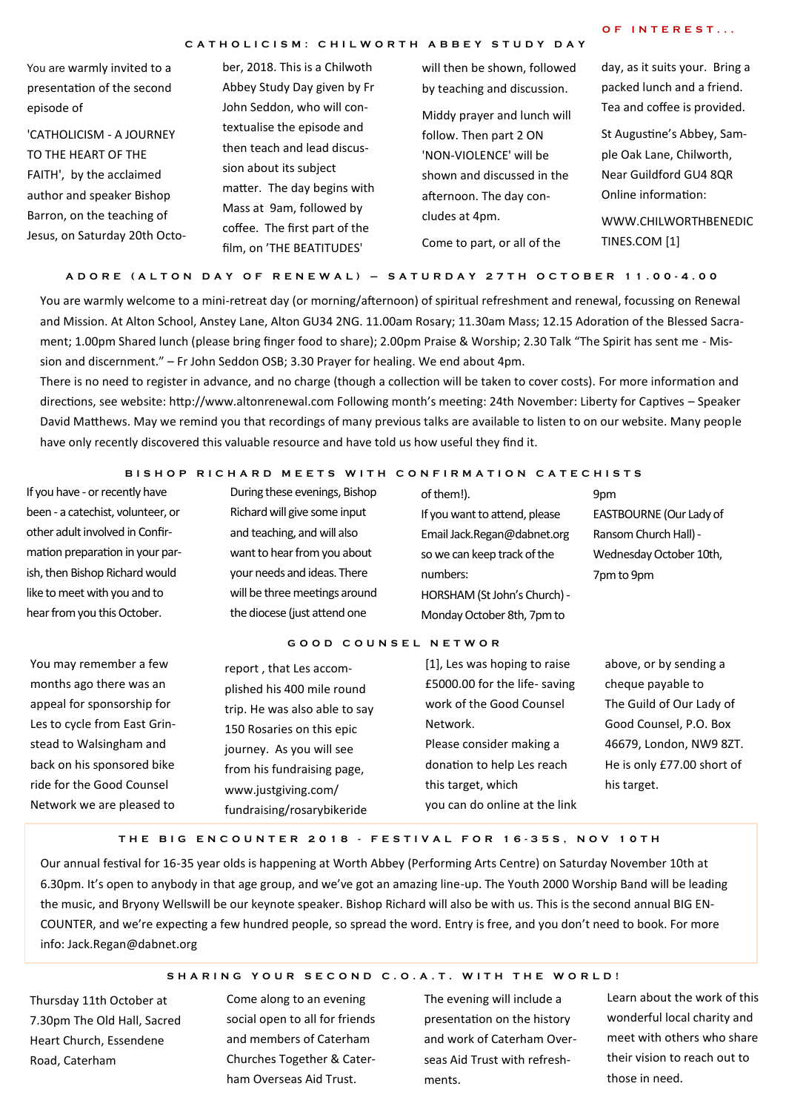#### **C A T H O L I C I S M : C H I L W O R T H A B B E Y S T U D Y D A Y**

# **O F I N T E R E S T . . .**

You are warmly invited to a presentation of the second episode of

'CATHOLICISM - A JOURNEY TO THE HEART OF THE FAITH', by the acclaimed author and speaker Bishop Barron, on the teaching of Jesus, on Saturday 20th Octo-

ber, 2018. This is a Chilwoth Abbey Study Day given by Fr John Seddon, who will contextualise the episode and then teach and lead discussion about its subject matter. The day begins with Mass at 9am, followed by coffee. The first part of the film, on 'THE BEATITUDES'

will then be shown, followed by teaching and discussion. Middy prayer and lunch will follow. Then part 2 ON 'NON-VIOLENCE' will be shown and discussed in the afternoon. The day concludes at 4pm. Come to part, or all of the

day, as it suits your. Bring a packed lunch and a friend. Tea and coffee is provided.

St Augustine's Abbey, Sample Oak Lane, Chilworth, Near Guildford GU4 8QR Online information:

WWW.CHILWORTHBENEDIC TINES.COM [1]

**A D O R E ( A L T O N D A Y O F R E N E W A L ) – S A T U R D A Y 2 7 T H O C T O B E R 1 1 . 0 0 - 4 . 0 0**

You are warmly welcome to a mini-retreat day (or morning/afternoon) of spiritual refreshment and renewal, focussing on Renewal and Mission. At Alton School, Anstey Lane, Alton GU34 2NG. 11.00am Rosary; 11.30am Mass; 12.15 Adoration of the Blessed Sacrament; 1.00pm Shared lunch (please bring finger food to share); 2.00pm Praise & Worship; 2.30 Talk "The Spirit has sent me - Mission and discernment." – Fr John Seddon OSB; 3.30 Prayer for healing. We end about 4pm.

There is no need to register in advance, and no charge (though a collection will be taken to cover costs). For more information and directions, see website: http://www.altonrenewal.com Following month's meeting: 24th November: Liberty for Captives – Speaker David Matthews. May we remind you that recordings of many previous talks are available to listen to on our website. Many people have only recently discovered this valuable resource and have told us how useful they find it.

#### **BISHOP RICHARD MEETS WITH CONFIRMATION CATECHISTS**

If you have - or recently have been - a catechist, volunteer, or other adult involved in Confirmation preparation in your parish, then Bishop Richard would like to meet with you and to hear from you this October.

During these evenings, Bishop Richard will give some input and teaching, and will also want to hear from you about your needs and ideas. There will be three meetings around the diocese (just attend one

of them!). If you want to attend, please Email Jack.Regan@dabnet.org so we can keep track of the numbers: HORSHAM (St John's Church) - Monday October 8th, 7pm to

**9pm** EASTBOURNE (Our Lady of Ransom Church Hall) - Wednesday October 10th, 7pm to 9pm

You may remember a f months ago there was appeal for sponsorship Les to cycle from East ( stead to Walsingham a back on his sponsored ride for the Good Coun Network we are please **G O O D C O U N S E L N E T W O R**

| ëw    | report, that Les accom-       | [1], Les was hoping to raise  | above, or by sending a     |
|-------|-------------------------------|-------------------------------|----------------------------|
| an    | plished his 400 mile round    | £5000.00 for the life-saving  | cheque payable to          |
| for   | trip. He was also able to say | work of the Good Counsel      | The Guild of Our Lady of   |
| Grin- | 150 Rosaries on this epic     | Network.                      | Good Counsel, P.O. Box     |
| nd    | journey. As you will see      | Please consider making a      | 46679, London, NW9 8ZT.    |
| bike  | from his fundraising page,    | donation to help Les reach    | He is only £77.00 short of |
| ısel  | www.justgiving.com/           | this target, which            | his target.                |
| d to  | fundraising/rosarybikeride    | you can do online at the link |                            |
|       |                               |                               |                            |

#### **T H E B I G E N C O U N T E R 2 0 1 8 - F E S T I V A L F O R 1 6 - 3 5 S , N O V 1 0 T H**

Our annual festival for 16-35 year olds is happening at Worth Abbey (Performing Arts Centre) on Saturday November 10th at 6.30pm. It's open to anybody in that age group, and we've got an amazing line-up. The Youth 2000 Worship Band will be leading the music, and Bryony Wellswill be our keynote speaker. Bishop Richard will also be with us. This is the second annual BIG EN-COUNTER, and we're expecting a few hundred people, so spread the word. Entry is free, and you don't need to book. For more info: Jack.Regan@dabnet.org

# SHARING YOUR SECOND C.O.A.T. WITH THE WORLD!

Thursday 11th October at 7.30pm The Old Hall, Sacred Heart Church, Essendene Road, Caterham

Come along to an evening social open to all for friends and members of Caterham Churches Together & Caterham Overseas Aid Trust.

The evening will include a presentation on the history and work of Caterham Overseas Aid Trust with refreshments.

Learn about the work of this wonderful local charity and meet with others who share their vision to reach out to those in need.